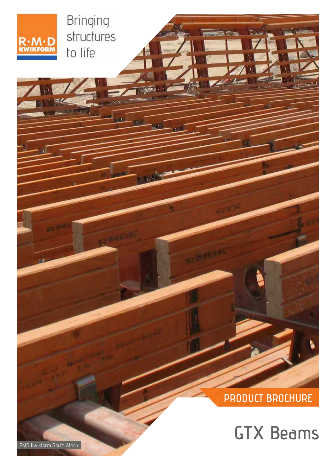RMD Kwikform South Africa

# **GTX Beams**

## **PRODUCT BROCHURE**



Bringing structures to life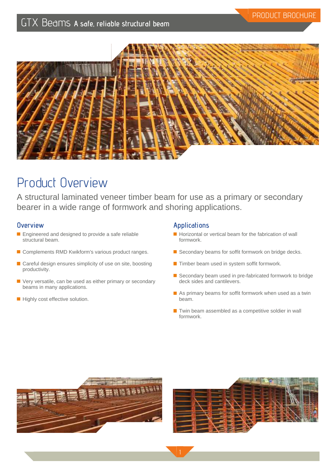

## Product Overview

A structural laminated veneer timber beam for use as a primary or secondary bearer in a wide range of formwork and shoring applications.

### **Overview**

- **Engineered and designed to provide a safe reliable** structural beam.
- Complements RMD Kwikform's various product ranges.
- Careful design ensures simplicity of use on site, boosting productivity.
- Very versatile, can be used as either primary or secondary beams in many applications.
- Highly cost effective solution.

### **Applications**

- $\blacksquare$  Horizontal or vertical beam for the fabrication of wall formwork.
- Secondary beams for soffit formwork on bridge decks.
- $\blacksquare$  Timber beam used in system soffit formwork.
- Secondary beam used in pre-fabricated formwork to bridge deck sides and cantilevers.
- $\blacksquare$  As primary beams for soffit formwork when used as a twin beam.
- $\blacksquare$  Twin beam assembled as a competitive soldier in wall formwork.



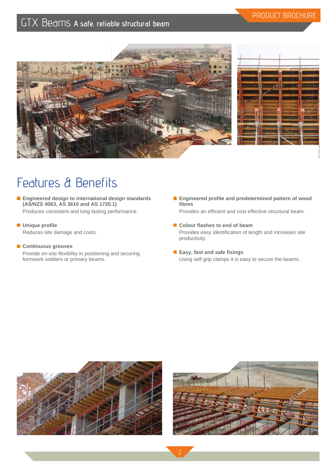



PRODUCT BROCHURE

## Features & Benefits

**Engineered design to international design standards (AS/NZS 4063, AS 3610 and AS 1720.1)** Produces consistent and long lasting performance.

### **Unique profile**

Reduces site damage and costs.

### **Continuous grooves**

Provide on-site flexibility in positioning and securing formwork soldiers or primary beams.

**Engineered profile and predetermined pattern of wood fibres**

Provides an efficient and cost effective structural beam.

- Colour flashes to end of beam Provides easy identification of length and increases site productivity.
- **Easy, fast and safe fixings** Using self grip clamps it is easy to secure the beams.







2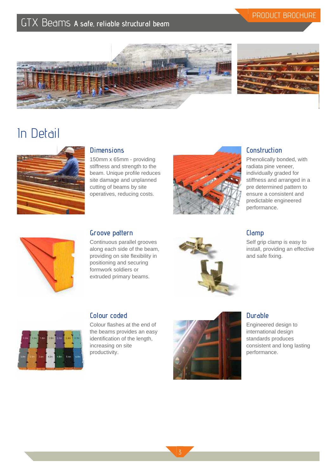## PRODUCT BROCHURE





## In Detail



## **Dimensions**

150mm x 65mm - providing stiffness and strength to the beam. Unique profile reduces site damage and unplanned cutting of beams by site operatives, reducing costs.



## **Construction**

Phenolically bonded, with radiata pine veneer, individually graded for stiffness and arranged in a pre determined pattern to ensure a consistent and predictable engineered performance.



### **Groove pattern**

Continuous parallel grooves along each side of the beam, providing on site flexibility in positioning and securing formwork soldiers or extruded primary beams.



## **Clamp**

Self grip clamp is easy to install, providing an effective and safe fixing.



### **Colour coded**

Colour flashes at the end of the beams provides an easy identification of the length, increasing on site productivity.



### **Durable**

Engineered design to international design standards produces consistent and long lasting performance.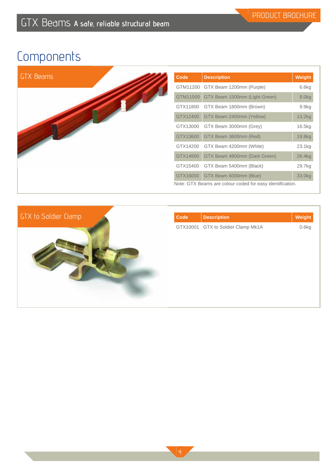| <b>Code</b> | <b>Description</b>                                        | Weight |
|-------------|-----------------------------------------------------------|--------|
|             | GTM11200 GTX Beam 1200mm (Purple)                         | 6.6kg  |
|             | GTM11500 GTX Beam 1500mm (Light Green)                    | 8.0kg  |
| GTX11800    | GTX Beam 1800mm (Brown)                                   | 9.9kg  |
| GTX12400    | GTX Beam 2400mm (Yellow)                                  | 13.2kg |
| GTX13000    | GTX Beam 3000mm (Grey)                                    | 16.5kg |
| GTX13600    | GTX Beam 3600mm (Red)                                     | 19.8kg |
| GTX14200    | GTX Beam 4200mm (White)                                   | 23.1kg |
| GTX14800    | GTX Beam 4800mm (Dark Green)                              | 26.4kg |
| GTX15400    | GTX Beam 5400mm (Black)                                   | 29.7kg |
| GTX16000    | GTX Beam 6000mm (Blue)                                    | 33.0kg |
|             | Note: GTX Beams are colour coded for easy identification. |        |



| <b>Description</b>                 | Weight |
|------------------------------------|--------|
| GTX10001 GTX to Soldier Clamp Mk1A | 0.6kg  |
|                                    |        |
|                                    |        |
|                                    |        |
|                                    |        |
|                                    |        |
|                                    |        |
|                                    |        |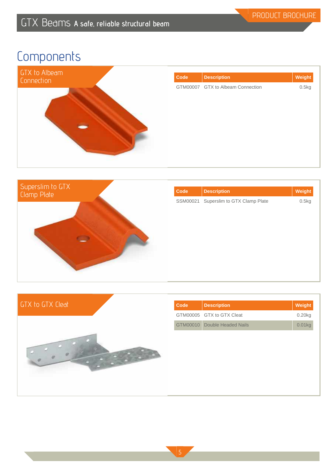



| Code     | <b>Description</b>           | Weight |
|----------|------------------------------|--------|
| SSM00021 | Superslim to GTX Clamp Plate | 0.5kg  |
|          |                              |        |
|          |                              |        |
|          |                              |        |
|          |                              |        |
|          |                              |        |
|          |                              |        |
|          |                              |        |



| <b>Code</b> | <b>Description</b>           | Weight |
|-------------|------------------------------|--------|
|             | GTM00005 GTX to GTX Cleat    | 0.20kg |
|             | GTM00010 Double Headed Nails | 0.01kg |
|             |                              |        |
|             |                              |        |
|             |                              |        |
|             |                              |        |
|             |                              |        |
|             |                              |        |
|             |                              |        |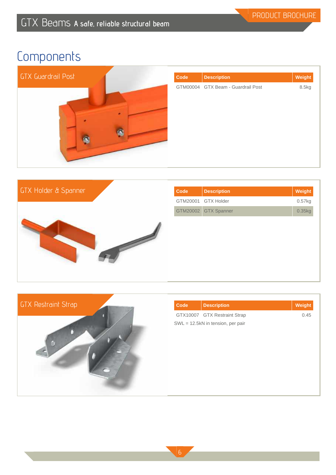





| <b>Code</b> | <b>Description</b>                | Weight |
|-------------|-----------------------------------|--------|
|             | GTX10007 GTX Restraint Strap      | 0.45   |
|             | SWL = 12.5kN in tension, per pair |        |
|             |                                   |        |
|             |                                   |        |
|             |                                   |        |
|             |                                   |        |
|             |                                   |        |
|             |                                   |        |
|             |                                   |        |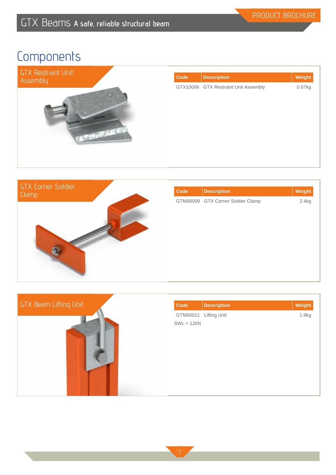



| Code | <b>Description</b>                | Weight |
|------|-----------------------------------|--------|
|      | GTM00009 GTX Corner Soldier Clamp | 2.4kg  |
|      |                                   |        |
|      |                                   |        |
|      |                                   |        |
|      |                                   |        |
|      |                                   |        |
|      |                                   |        |
|      |                                   |        |

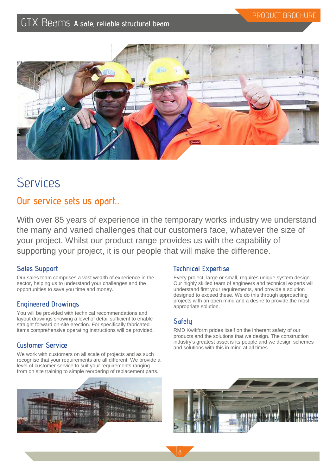

## **Services**

## **Our service sets us apart...**

With over 85 years of experience in the temporary works industry we understand the many and varied challenges that our customers face, whatever the size of your project. Whilst our product range provides us with the capability of supporting your project, it is our people that will make the difference.

## **Sales Support**

Our sales team comprises a vast wealth of experience in the sector, helping us to understand your challenges and the opportunities to save you time and money.

### **Engineered Drawings**

You will be provided with technical recommendations and layout drawings showing a level of detail sufficient to enable straight forward on-site erection. For specifically fabricated items comprehensive operating instructions will be provided.

## **Customer Service**

We work with customers on all scale of projects and as such recognise that your requirements are all different. We provide a level of customer service to suit your requirements ranging from on site training to simple reordering of replacement parts.



### **Technical Expertise**

Every project, large or small, requires unique system design. Our highly skilled team of engineers and technical experts will understand first your requirements, and provide a solution designed to exceed these. We do this through approaching projects with an open mind and a desire to provide the most appropriate solution.

## **Safety**

RMD Kwikform prides itself on the inherent safety of our products and the solutions that we design. The construction industry's greatest asset is its people and we design schemes and solutions with this in mind at all times.